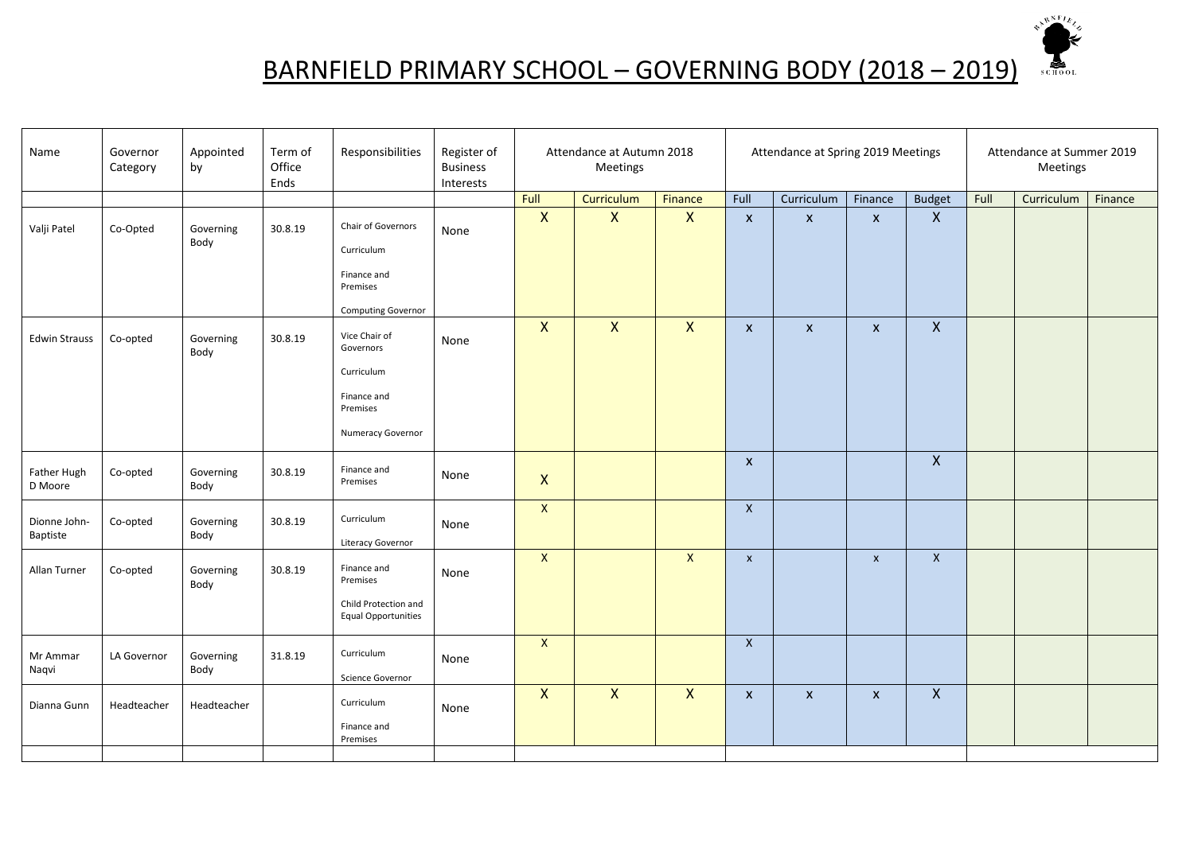

## BARNFIELD PRIMARY SCHOOL – GOVERNING BODY (2018 – 2019)

| Name                     | Governor<br>Category | Appointed<br>by   | Term of<br>Office<br>Ends | Responsibilities                                                                         | Register of<br><b>Business</b><br>Interests |                           | Attendance at Autumn 2018<br>Meetings |              | Attendance at Spring 2019 Meetings |                           | Attendance at Summer 2019<br>Meetings |                    |      |            |         |
|--------------------------|----------------------|-------------------|---------------------------|------------------------------------------------------------------------------------------|---------------------------------------------|---------------------------|---------------------------------------|--------------|------------------------------------|---------------------------|---------------------------------------|--------------------|------|------------|---------|
|                          |                      |                   |                           |                                                                                          |                                             | Full                      | Curriculum                            | Finance      | Full                               | Curriculum                | Finance                               | <b>Budget</b>      | Full | Curriculum | Finance |
| Valji Patel              | Co-Opted             | Governing<br>Body | 30.8.19                   | Chair of Governors<br>Curriculum                                                         | None                                        | $\mathsf{X}$              | $\mathsf{x}$                          | $\mathsf{X}$ | $\mathsf{x}$                       | $\boldsymbol{\mathsf{x}}$ | $\pmb{\times}$                        | $\pmb{\mathsf{X}}$ |      |            |         |
|                          |                      |                   |                           | Finance and<br>Premises<br><b>Computing Governor</b>                                     |                                             |                           |                                       |              |                                    |                           |                                       |                    |      |            |         |
| <b>Edwin Strauss</b>     | Co-opted             | Governing<br>Body | 30.8.19                   | Vice Chair of<br>Governors<br>Curriculum<br>Finance and<br>Premises<br>Numeracy Governor | None                                        | $\pmb{\mathsf{X}}$        | $\mathsf{X}$                          | $\mathsf{X}$ | $\boldsymbol{X}$                   | $\pmb{\mathsf{X}}$        | $\pmb{\mathsf{X}}$                    | $\mathsf{X}$       |      |            |         |
| Father Hugh<br>D Moore   | Co-opted             | Governing<br>Body | 30.8.19                   | Finance and<br>Premises                                                                  | None                                        | $\boldsymbol{\mathsf{X}}$ |                                       |              | $\mathsf{x}$                       |                           |                                       | $\pmb{\times}$     |      |            |         |
| Dionne John-<br>Baptiste | Co-opted             | Governing<br>Body | 30.8.19                   | Curriculum<br>Literacy Governor                                                          | None                                        | $\mathsf X$               |                                       |              | $\mathsf{X}$                       |                           |                                       |                    |      |            |         |
| Allan Turner             | Co-opted             | Governing<br>Body | 30.8.19                   | Finance and<br>Premises<br>Child Protection and<br><b>Equal Opportunities</b>            | None                                        | $\mathsf X$               |                                       | $\mathsf{X}$ | $\mathsf{x}$                       |                           | $\pmb{\mathsf{x}}$                    | $\mathsf{X}$       |      |            |         |
| Mr Ammar<br>Naqvi        | LA Governor          | Governing<br>Body | 31.8.19                   | Curriculum<br>Science Governor                                                           | None                                        | $\mathsf{X}$              |                                       |              | $\mathsf{x}$                       |                           |                                       |                    |      |            |         |
| Dianna Gunn              | Headteacher          | Headteacher       |                           | Curriculum<br>Finance and<br>Premises                                                    | None                                        | $\mathsf{X}$              | $\mathsf{X}$                          | $\mathsf{X}$ | $\boldsymbol{X}$                   | $\pmb{\mathsf{X}}$        | $\pmb{\mathsf{X}}$                    | $\pmb{\mathsf{X}}$ |      |            |         |
|                          |                      |                   |                           |                                                                                          |                                             |                           |                                       |              |                                    |                           |                                       |                    |      |            |         |